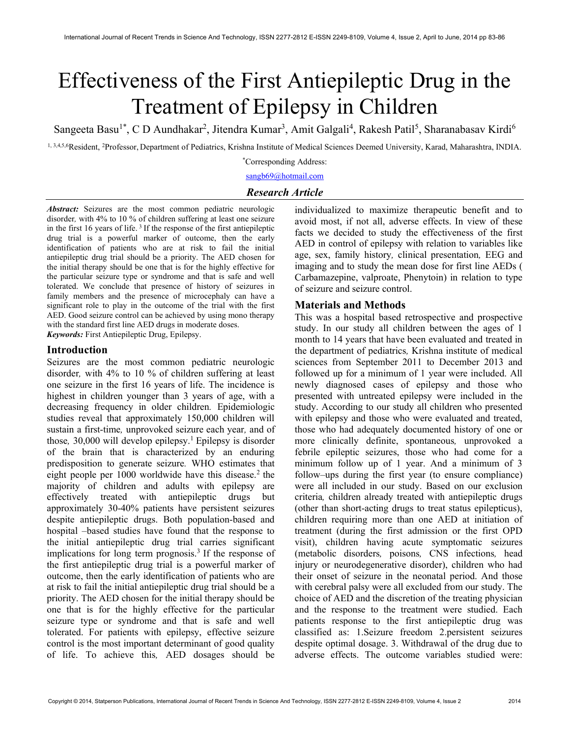# Effectiveness of the First Antiepileptic Drug in the Treatment of Epilepsy in Children

Sangeeta Basu<sup>1\*</sup>, C D Aundhakar<sup>2</sup>, Jitendra Kumar<sup>3</sup>, Amit Galgali<sup>4</sup>, Rakesh Patil<sup>5</sup>, Sharanabasav Kirdi<sup>6</sup>

1, 3,4,5,6Resident, <sup>2</sup>Professor, Department of Pediatrics, Krishna Institute of Medical Sciences Deemed University, Karad, Maharashtra, INDIA. \*Corresponding Address:

sangb69@hotmail.com

# Research Article

Abstract: Seizures are the most common pediatric neurologic disorder, with 4% to 10 % of children suffering at least one seizure in the first 16 years of life.<sup>3</sup> If the response of the first antiepileptic drug trial is a powerful marker of outcome, then the early identification of patients who are at risk to fail the initial antiepileptic drug trial should be a priority. The AED chosen for the initial therapy should be one that is for the highly effective for the particular seizure type or syndrome and that is safe and well tolerated. We conclude that presence of history of seizures in family members and the presence of microcephaly can have a significant role to play in the outcome of the trial with the first AED. Good seizure control can be achieved by using mono therapy with the standard first line AED drugs in moderate doses. Keywords: First Antiepileptic Drug, Epilepsy.

#### Introduction

Seizures are the most common pediatric neurologic disorder, with 4% to 10 % of children suffering at least one seizure in the first 16 years of life. The incidence is highest in children younger than 3 years of age, with a decreasing frequency in older children. Epidemiologic studies reveal that approximately 150,000 children will sustain a first-time, unprovoked seizure each year, and of those,  $30,000$  will develop epilepsy.<sup>1</sup> Epilepsy is disorder of the brain that is characterized by an enduring predisposition to generate seizure. WHO estimates that eight people per  $1000$  worldwide have this disease.<sup>2</sup> the majority of children and adults with epilepsy are effectively treated with antiepileptic drugs but approximately 30-40% patients have persistent seizures despite antiepileptic drugs. Both population-based and hospital –based studies have found that the response to the initial antiepileptic drug trial carries significant implications for long term prognosis.<sup>3</sup> If the response of the first antiepileptic drug trial is a powerful marker of outcome, then the early identification of patients who are at risk to fail the initial antiepileptic drug trial should be a priority. The AED chosen for the initial therapy should be one that is for the highly effective for the particular seizure type or syndrome and that is safe and well tolerated. For patients with epilepsy, effective seizure control is the most important determinant of good quality of life. To achieve this, AED dosages should be

individualized to maximize therapeutic benefit and to avoid most, if not all, adverse effects. In view of these facts we decided to study the effectiveness of the first AED in control of epilepsy with relation to variables like age, sex, family history, clinical presentation, EEG and imaging and to study the mean dose for first line AEDs ( Carbamazepine, valproate, Phenytoin) in relation to type of seizure and seizure control.

#### Materials and Methods

This was a hospital based retrospective and prospective study. In our study all children between the ages of 1 month to 14 years that have been evaluated and treated in the department of pediatrics, Krishna institute of medical sciences from September 2011 to December 2013 and followed up for a minimum of 1 year were included. All newly diagnosed cases of epilepsy and those who presented with untreated epilepsy were included in the study. According to our study all children who presented with epilepsy and those who were evaluated and treated, those who had adequately documented history of one or more clinically definite, spontaneous, unprovoked a febrile epileptic seizures, those who had come for a minimum follow up of 1 year. And a minimum of 3 follow–ups during the first year (to ensure compliance) were all included in our study. Based on our exclusion criteria, children already treated with antiepileptic drugs (other than short-acting drugs to treat status epilepticus), children requiring more than one AED at initiation of treatment (during the first admission or the first OPD visit), children having acute symptomatic seizures (metabolic disorders, poisons, CNS infections, head injury or neurodegenerative disorder), children who had their onset of seizure in the neonatal period. And those with cerebral palsy were all excluded from our study. The choice of AED and the discretion of the treating physician and the response to the treatment were studied. Each patients response to the first antiepileptic drug was classified as: 1.Seizure freedom 2.persistent seizures despite optimal dosage. 3. Withdrawal of the drug due to adverse effects. The outcome variables studied were: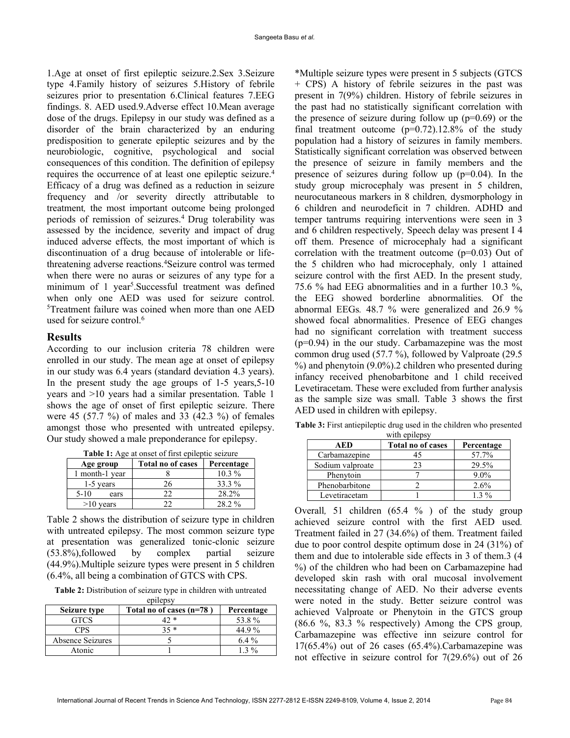1.Age at onset of first epileptic seizure.2.Sex 3.Seizure type 4.Family history of seizures 5.History of febrile seizures prior to presentation 6.Clinical features 7.EEG findings. 8. AED used.9.Adverse effect 10.Mean average dose of the drugs. Epilepsy in our study was defined as a disorder of the brain characterized by an enduring predisposition to generate epileptic seizures and by the neurobiologic, cognitive, psychological and social consequences of this condition. The definition of epilepsy requires the occurrence of at least one epileptic seizure.<sup>4</sup> Efficacy of a drug was defined as a reduction in seizure frequency and /or severity directly attributable to treatment, the most important outcome being prolonged periods of remission of seizures.<sup>4</sup>Drug tolerability was assessed by the incidence, severity and impact of drug induced adverse effects, the most important of which is discontinuation of a drug because of intolerable or lifethreatening adverse reactions.<sup>4</sup>Seizure control was termed when there were no auras or seizures of any type for a minimum of 1 year<sup>5</sup>. Successful treatment was defined when only one AED was used for seizure control. <sup>5</sup>Treatment failure was coined when more than one AED used for seizure control.<sup>6</sup>

# **Results**

According to our inclusion criteria 78 children were enrolled in our study. The mean age at onset of epilepsy in our study was 6.4 years (standard deviation 4.3 years). In the present study the age groups of 1-5 years,5-10 years and >10 years had a similar presentation. Table 1 shows the age of onset of first epileptic seizure. There were 45 (57.7 %) of males and 33 (42.3 %) of females amongst those who presented with untreated epilepsy. Our study showed a male preponderance for epilepsy.

| <b>rapic 1.</b> Tec at onset of this ephophe seizure |                          |            |  |  |
|------------------------------------------------------|--------------------------|------------|--|--|
| Age group                                            | <b>Total no of cases</b> | Percentage |  |  |
| 1 month-1 year                                       |                          | $10.3\%$   |  |  |
| 1-5 years                                            | 26                       | 33.3 %     |  |  |
| $5-10$<br>ears                                       | フフ                       | 28.2%      |  |  |
| $>10$ vears                                          |                          | 28.2 %     |  |  |

Table 1: Age at onset of first epileptic seizure

Table 2 shows the distribution of seizure type in children with untreated epilepsy. The most common seizure type at presentation was generalized tonic-clonic seizure (53.8%),followed by complex partial seizure (44.9%).Multiple seizure types were present in 5 children (6.4%, all being a combination of GTCS with CPS.

Table 2: Distribution of seizure type in children with untreated epilepsy

| <b>C</b> PHCPS Y |                          |            |  |  |
|------------------|--------------------------|------------|--|--|
| Seizure type     | Total no of cases (n=78) | Percentage |  |  |
| <b>GTCS</b>      |                          | 53.8%      |  |  |
| <b>CPS</b>       | 25 *                     | 44.9%      |  |  |
| Absence Seizures |                          | $6.4\%$    |  |  |
| Atonic           |                          | $1, 3\%$   |  |  |

\*Multiple seizure types were present in 5 subjects (GTCS + CPS) A history of febrile seizures in the past was present in 7(9%) children. History of febrile seizures in the past had no statistically significant correlation with the presence of seizure during follow up  $(p=0.69)$  or the final treatment outcome  $(p=0.72)$ .12.8% of the study population had a history of seizures in family members. Statistically significant correlation was observed between the presence of seizure in family members and the presence of seizures during follow up (p=0.04). In the study group microcephaly was present in 5 children, neurocutaneous markers in 8 children, dysmorphology in 6 children and neurodeficit in 7 children. ADHD and temper tantrums requiring interventions were seen in 3 and 6 children respectively, Speech delay was present I 4 off them. Presence of microcephaly had a significant correlation with the treatment outcome (p=0.03) Out of the 5 children who had microcephaly, only 1 attained seizure control with the first AED. In the present study, 75.6 % had EEG abnormalities and in a further 10.3 %, the EEG showed borderline abnormalities. Of the abnormal EEGs. 48.7 % were generalized and 26.9 % showed focal abnormalities. Presence of EEG changes had no significant correlation with treatment success (p=0.94) in the our study. Carbamazepine was the most common drug used (57.7 %), followed by Valproate (29.5 %) and phenytoin (9.0%).2 children who presented during infancy received phenobarbitone and 1 child received Levetiracetam. These were excluded from further analysis as the sample size was small. Table 3 shows the first AED used in children with epilepsy.

Table 3: First antiepileptic drug used in the children who presented with epilepsy

| $WIII$ up $WVYY$ |                          |            |  |  |
|------------------|--------------------------|------------|--|--|
| AED              | <b>Total no of cases</b> | Percentage |  |  |
| Carbamazepine    |                          | 57.7%      |  |  |
| Sodium valproate | 23                       | 29.5%      |  |  |
| Phenytoin        |                          | $9.0\%$    |  |  |
| Phenobarbitone   |                          | 2.6%       |  |  |
| Levetiracetam    |                          | $1.3\%$    |  |  |

Overall, 51 children (65.4 % ) of the study group achieved seizure control with the first AED used. Treatment failed in 27 (34.6%) of them. Treatment failed due to poor control despite optimum dose in 24 (31%) of them and due to intolerable side effects in 3 of them.3 (4 %) of the children who had been on Carbamazepine had developed skin rash with oral mucosal involvement necessitating change of AED. No their adverse events were noted in the study. Better seizure control was achieved Valproate or Phenytoin in the GTCS group (86.6 %, 83.3 % respectively) Among the CPS group, Carbamazepine was effective inn seizure control for 17(65.4%) out of 26 cases (65.4%).Carbamazepine was not effective in seizure control for 7(29.6%) out of 26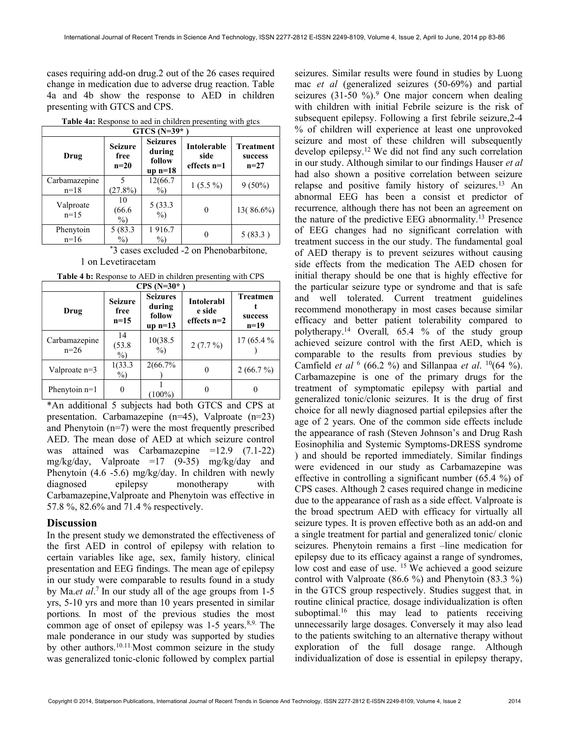cases requiring add-on drug.2 out of the 26 cases required change in medication due to adverse drug reaction. Table 4a and 4b show the response to AED in children presenting with GTCS and CPS.

| $GTCS$ (N=39*           |                                  |                                                  |                                      |                                       |
|-------------------------|----------------------------------|--------------------------------------------------|--------------------------------------|---------------------------------------|
| Drug                    | <b>Seizure</b><br>free<br>$n=20$ | <b>Seizures</b><br>during<br>follow<br>$up n=18$ | Intolerable<br>side<br>effects $n=1$ | <b>Treatment</b><br>success<br>$n=27$ |
| Carbamazepine<br>$n=18$ | 5<br>(27.8%)                     | 12(66.7<br>$\%$                                  | $1(5.5\%)$                           | $9(50\%)$                             |
| Valproate<br>$n=15$     | 10<br>(66.6)<br>$\%$             | 5 (33.3<br>$\%$                                  |                                      | 13(86.6%)                             |
| Phenytoin<br>$n=16$     | 5 (83.3<br>$\%$                  | 1916.7<br>$\%$                                   |                                      | 5(83.3)                               |

Table 4a: Response to aed in children presenting with gtcs

\*3 cases excluded -2 on Phenobarbitone,

1 on Levetiracetam

Table 4 b: Response to AED in children presenting with CPS

| $CPS(N=30*$             |                                  |                                                  |                                              |                                      |
|-------------------------|----------------------------------|--------------------------------------------------|----------------------------------------------|--------------------------------------|
| Drug                    | <b>Seizure</b><br>free<br>$n=15$ | <b>Seizures</b><br>during<br>follow<br>$up$ n=13 | <b>Intolerabl</b><br>e side<br>effects $n=2$ | <b>Treatmen</b><br>success<br>$n=19$ |
| Carbamazepine<br>$n=26$ | 14<br>(53.8)<br>$\%$             | 10(38.5<br>$\%$                                  | $2(7.7\%)$                                   | 17 (65.4 %                           |
| Valproate n=3           | 1(33.3)<br>$\%$                  | 2(66.7%)                                         | $\theta$                                     | 2(66.7%)                             |
| Phenytoin $n=1$         |                                  | $(100\%)$                                        |                                              |                                      |

\*An additional 5 subjects had both GTCS and CPS at presentation. Carbamazepine (n=45), Valproate (n=23) and Phenytoin (n=7) were the most frequently prescribed AED. The mean dose of AED at which seizure control was attained was Carbamazepine =12.9 (7.1-22) mg/kg/day, Valproate =17 (9-35) mg/kg/day and Phenytoin (4.6 -5.6) mg/kg/day. In children with newly diagnosed epilepsy monotherapy with Carbamazepine,Valproate and Phenytoin was effective in 57.8 %, 82.6% and 71.4 % respectively.

### **Discussion**

In the present study we demonstrated the effectiveness of the first AED in control of epilepsy with relation to certain variables like age, sex, family history, clinical presentation and EEG findings. The mean age of epilepsy in our study were comparable to results found in a study by Ma.*et al*.<sup>7</sup> In our study all of the age groups from 1-5 yrs, 5-10 yrs and more than 10 years presented in similar portions. In most of the previous studies the most common age of onset of epilepsy was 1-5 years.<sup>8,9.</sup> The male ponderance in our study was supported by studies by other authors.10.11.Most common seizure in the study was generalized tonic-clonic followed by complex partial

seizures. Similar results were found in studies by Luong mac et al (generalized seizures (50-69%) and partial seizures  $(31-50\%)$ <sup>9</sup> One major concern when dealing with children with initial Febrile seizure is the risk of subsequent epilepsy. Following a first febrile seizure,2-4 % of children will experience at least one unprovoked seizure and most of these children will subsequently develop epilepsy.<sup>12</sup>We did not find any such correlation in our study. Although similar to our findings Hauser et al had also shown a positive correlation between seizure relapse and positive family history of seizures.<sup>13</sup> An abnormal EEG has been a consist et predictor of recurrence, although there has not been an agreement on the nature of the predictive EEG abnormality.<sup>13</sup> Presence of EEG changes had no significant correlation with treatment success in the our study. The fundamental goal of AED therapy is to prevent seizures without causing side effects from the medication The AED chosen for initial therapy should be one that is highly effective for the particular seizure type or syndrome and that is safe and well tolerated. Current treatment guidelines recommend monotherapy in most cases because similar efficacy and better patient tolerability compared to polytherapy.<sup>14</sup> Overall, 65.4 % of the study group achieved seizure control with the first AED, which is comparable to the results from previous studies by Camfield *et al*  $(66.2 \%)$  and Sillanpaa *et al.*  $^{10}(64 \%)$ . Carbamazepine is one of the primary drugs for the treatment of symptomatic epilepsy with partial and generalized tonic/clonic seizures. It is the drug of first choice for all newly diagnosed partial epilepsies after the age of 2 years. One of the common side effects include the appearance of rash (Steven Johnson's and Drug Rash Eosinophilia and Systemic Symptoms-DRESS syndrome ) and should be reported immediately. Similar findings were evidenced in our study as Carbamazepine was effective in controlling a significant number (65.4 %) of CPS cases. Although 2 cases required change in medicine due to the appearance of rash as a side effect. Valproate is the broad spectrum AED with efficacy for virtually all seizure types. It is proven effective both as an add-on and a single treatment for partial and generalized tonic/ clonic seizures. Phenytoin remains a first –line medication for epilepsy due to its efficacy against a range of syndromes, low cost and ease of use. <sup>15</sup> We achieved a good seizure control with Valproate (86.6 %) and Phenytoin (83.3 %) in the GTCS group respectively. Studies suggest that, in routine clinical practice, dosage individualization is often suboptimal.<sup>16</sup> this may lead to patients receiving unnecessarily large dosages. Conversely it may also lead to the patients switching to an alternative therapy without exploration of the full dosage range. Although individualization of dose is essential in epilepsy therapy,